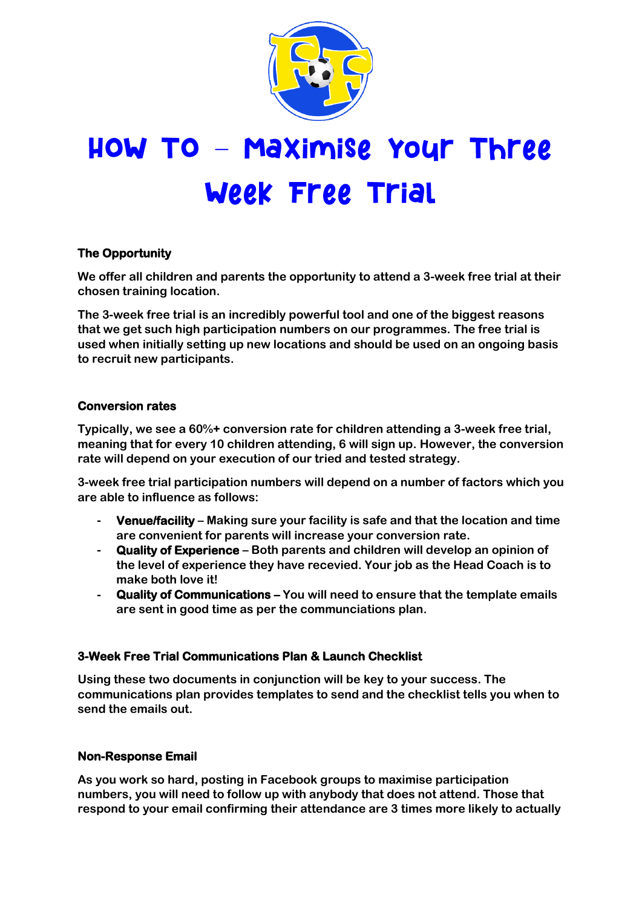

# HOW TO - Maximise your Three Week Free Trial

## **The Opportunity**

**We offer all children and parents the opportunity to attend a 3-week free trial at their chosen training location.**

**The 3-week free trial is an incredibly powerful tool and one of the biggest reasons that we get such high participation numbers on our programmes. The free trial is used when initially setting up new locations and should be used on an ongoing basis to recruit new participants.**

#### **Conversion rates**

**Typically, we see a 60%+ conversion rate for children attending a 3-week free trial, meaning that for every 10 children attending, 6 will sign up. However, the conversion rate will depend on your execution of our tried and tested strategy.**

**3-week free trial participation numbers will depend on a number of factors which you are able to influence as follows:**

- **- Venue/facility – Making sure your facility is safe and that the location and time are convenient for parents will increase your conversion rate.**
- **- Quality of Experience – Both parents and children will develop an opinion of the level of experience they have recevied. Your job as the Head Coach is to make both love it!**
- **- Quality of Communications – You will need to ensure that the template emails are sent in good time as per the communciations plan.**

#### **3-Week Free Trial Communications Plan & Launch Checklist**

**Using these two documents in conjunction will be key to your success. The communications plan provides templates to send and the checklist tells you when to send the emails out.**

#### **Non-Response Email**

**As you work so hard, posting in Facebook groups to maximise participation numbers, you will need to follow up with anybody that does not attend. Those that respond to your email confirming their attendance are 3 times more likely to actually**